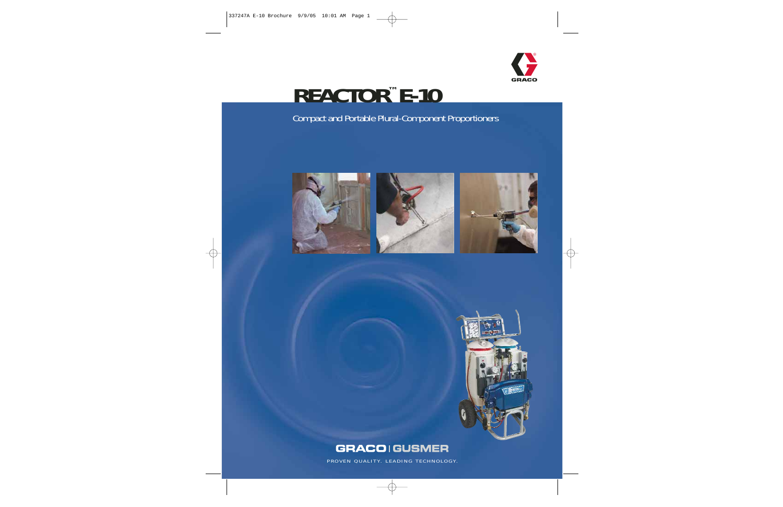

# **REACTOR™ E-10**

### Compact and Portable Plural-Component Proportioners









### **GRACOIGUSMER**

PROVEN QUALITY. LEADING TECHNOLOGY.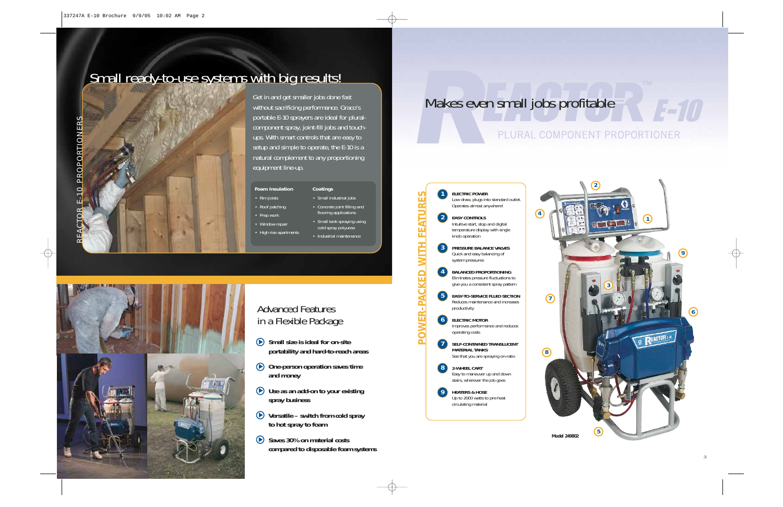# Small ready-to-use systems with big results!



Get in and get smaller jobs done fast without sacrificing performance. Graco's portable E-10 sprayers are ideal for pluralcomponent spray, joint-fill jobs and touchups. With smart controls that are easy to setup and simple to operate, the E-10 is a natural complement to any proportioning equipment line-up.

EACTOR

#### **Foam Insulation Coatings**

- Rim Joists • Roof patching
- Prep work
- Window repair
- High rise apartments
- Concrete joint filling and flooring applications
- Small tank spraying using
- - Industrial maintenance

• Small industrial jobs

cold spray polyurea

# Makes even small jobs profitable

### PLURAL COMPONENT PROPORTIONER



**ELECTRIC POWER** Low draw, plugs into standard outlet. Operates almost anywhere!

**EASY CONTROLS**  Intuitive start, stop and digital temperature display with single knob operation

**PRESSURE BALANCE VALVES** Quick and easy balancing of system pressures

**BALANCED PROPORTIONING** Eliminates pressure fluctuations to give you a consistent spray pattern

**EASY-TO-SERVICE FLUID SECTION** Reduces maintenance and increases productivity

- **ELECTRIC MOTOR** Improves performance and reduces operating costs
- **SELF-CONTAINED TRANSLUCENT MATERIAL TANKS** See that you are spraying on-ratio
- **2-WHEEL CART**  Easy to maneuver up and down stairs, wherever the job goes
- **9 HEATERS & HOSE** Up to 2000 watts to pre-heat circulating material





### Advanced Features in a Flexible Package

- **Small size is ideal for on-site portability and hard-to-reach areas**  $\blacktriangleright$
- **One-person operation saves time and money**
- **Use as an add-on to your existing** ▲ **spray business**
- **Versatile switch from cold spray**  ▲ **to hot spray to foam**
- Saves 30% on material costs **compared to disposable foam systems**

1570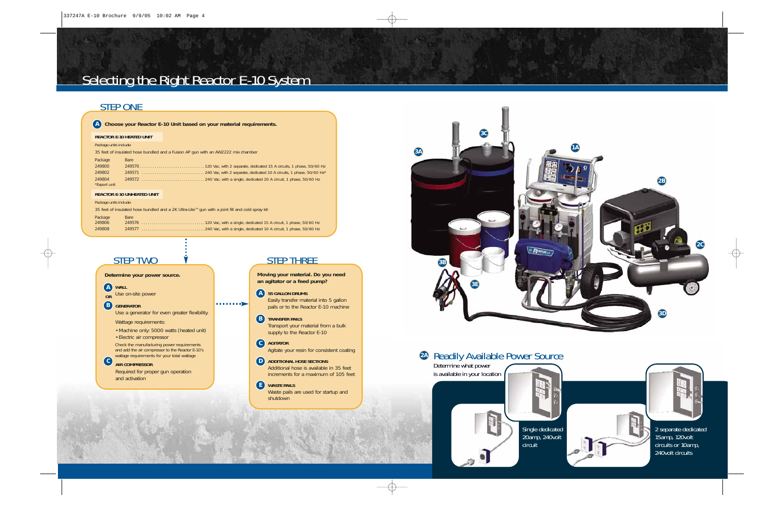# Selecting the Right Reactor E-10 System

### STEP ONE

| A Choose your Reactor E-10 Unit based on your material requirements. |
|----------------------------------------------------------------------|

### **REACTOR E-10 HEATED UNIT**

### Package units include:

35 feet of insulated hose bundled and a Fusion AP gun with an AW2222 mix chamber

| Package      | <b>Bare</b> |
|--------------|-------------|
| 249800       |             |
| 249802       |             |
| 249804       |             |
| *Export unit |             |

### **REACTOR E-10 UNHEATED UNIT**

Package units include:

35 feet of insulated hose bundled and a 2K Ultra-Lite™ gun with a joint fill and cold spray kit

| Package | <b>Bare</b> |
|---------|-------------|
| 249806  |             |
| 249808  |             |

 $\cdots \cdots \cdots$ 

### STEP TWO  $\dot{v}$  STEP THREE

**Determine your power source.**

**WALL A**

**4**

Use on-site power **OR**

**GENERATOR B**

Use a generator for even greater flexibility.

Wattage requirements:

• Machine only: 5000 watts (heated unit) • Electric air compressor

Check the manufacturing power requirements and add the air compressor to the Reactor E-10's wattage requirements for your total wattage

**AIR COMPRESSOR C** Required for proper gun operation and activation

**Moving your material. Do you need an agitator or a feed pump?** 

### **55 GALLON DRUMS A**

Easily transfer material into 5 gallon pails or to the Reactor E-10 machine

### **B TRANSFER PAILS**

Transport your material from a bulk supply to the Reactor E-10

### **AGITATOR C** Agitate your resin for consistent coating

**D** ADDITIONAL HOSE SECTIONS Additional hose is available in 35 feet increments for a maximum of 105 feet

### **WASTE PAILS E** Waste pails are used for startup and shutdown



### Readily Available Power Source **2A**

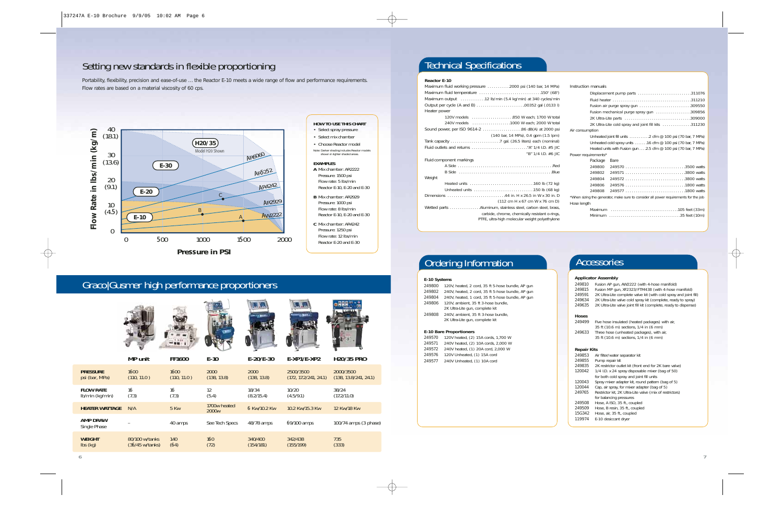### Setting new standards in flexible proportioning

Portability, flexibility, precision and ease-of-use ... the Reactor E-10 meets a wide range of flow and performance requirements. Flow rates are based on a material viscosity of 60 cps.



### **HOW TO USE THIS CHART** • Select spray pressure • Select mix chamber • Choose Reactor model Note: Darker shading includes Reactor models

shown in lighter shaded areas. **EXAMPLES A** Mix chamber: AR2222 Pressure: 1500 psi

Flow rate: 5 lbs/min Reactor E-10, E-20 and E-30

**B** Mix chamber: AR2929 Pressure: 1000 psi Flow rate: 8 lbs/min Reactor E-10, E-20 and E-30

**C** Mix chamber: AR4242 Pressure: 1250 psi Flow rate: 12 lbs/min Reactor E-20 and E-30

### Graco|Gusmer high performance proportioners







|                                 | <b>MP</b> unit            | <b>FF1600</b> | $E-10$                            | $E - 20/E - 30$ | $E$ -XP1/E-XP2        | <b>H20/35 PRO</b>     |
|---------------------------------|---------------------------|---------------|-----------------------------------|-----------------|-----------------------|-----------------------|
| <b>PRESSURE</b>                 | 1600                      | 1600          | 2000                              | 2000            | 2500/3500             | 2000/3500             |
| psi (bar, MPa)                  | (110, 11.0)               | (110, 11.0)   | (138, 13.8)                       | (138, 13.8)     | (172, 17.2/241, 24.1) | (138, 13.8/241, 24.1) |
| <b>FLOW RATE</b>                | 16                        | 16            | 12                                | 18/34           | 10/20                 | 38/24                 |
| Ib/min (kg/min)                 | (7.3)                     | (7.3)         | (5.4)                             | (8.2/15.4)      | (4.5/9.1)             | (17.2/11.0)           |
| <b>HEATER WATTAGE</b>           | N/A                       | 5 Kw          | 1700w heated<br>2000 <sub>w</sub> | 6 Kw/10.2 Kw    | 10.2 Kw/15.3 Kw       | 12 Kw/18 Kw           |
| <b>AMP DRAW</b><br>Single Phase |                           | 40 amps       | See Tech Specs                    | 48/78 amps      | 69/100 amps           | 100/74 amps (3 phase) |
| <b>WEIGHT</b>                   | 80/100 w/tanks            | 140           | 160                               | 340/400         | 342/438               | 735                   |
| $\mathsf{lbs}(\mathsf{kg})$     | $(36/45 \text{ w/tanks})$ | (64)          | (72)                              | (154/181)       | (155/199)             | (333)                 |

### Technical Specifications

### **Reactor E-10**

| Maximum fluid working pressure 2000 psi (140 bar, 14 MPa)                                                                                                        |  |
|------------------------------------------------------------------------------------------------------------------------------------------------------------------|--|
|                                                                                                                                                                  |  |
| Maximum output 12 lb/min (5.4 kg/min) at 340 cycles/min                                                                                                          |  |
|                                                                                                                                                                  |  |
| Heater power                                                                                                                                                     |  |
|                                                                                                                                                                  |  |
| 240V models 1000 W each; 2000 W total                                                                                                                            |  |
| Sound power, per ISO 9614-2 86 dB(A) at 2000 psi                                                                                                                 |  |
| (140 bar, 14 MPa), 0.4 gpm (1.5 lpm)                                                                                                                             |  |
|                                                                                                                                                                  |  |
|                                                                                                                                                                  |  |
| "B" 1/4 I.D. #6 JIC                                                                                                                                              |  |
| Fluid component markings                                                                                                                                         |  |
|                                                                                                                                                                  |  |
|                                                                                                                                                                  |  |
| Weight                                                                                                                                                           |  |
|                                                                                                                                                                  |  |
|                                                                                                                                                                  |  |
| (112 cm H x 67 cm W x 76 cm D)                                                                                                                                   |  |
| Wetted parts Aluminum, stainless steel, carbon steel, brass,<br>carbide, chrome, chemically resistant o-rings,<br>PTFE, ultra-high molecular weight polyethylene |  |

| Displacement pump parts 311076                                                       |
|--------------------------------------------------------------------------------------|
|                                                                                      |
| Fusion air purge spray gun 309550                                                    |
| Fusion mechanical purge spray gun 309856                                             |
|                                                                                      |
| 2K Ultra-Lite cold spray and joint fill kits 311230                                  |
| Air consumption                                                                      |
| Unheated joint fill units $\ldots \ldots \ldots 2$ cfm @ 100 psi (70 bar, 7 MPa)     |
| Unheated cold spray units 16 cfm @ 100 psi (70 bar, 7 MPa)                           |
| Heated units with Fusion gun 2.5 cfm @ 100 psi (70 bar, 7 MPa)                       |
| Power requirements*                                                                  |
| Package<br><b>Bare</b>                                                               |
|                                                                                      |
|                                                                                      |
| 249804                                                                               |
| 249806                                                                               |
| 249808                                                                               |
| *When sizing the generator, make sure to consider all power requirements for the job |
| Hose length                                                                          |
|                                                                                      |
| Minimum 35 feet (10m)                                                                |

### **Ordering Information Accessories**

#### **E-10 Systems**

 120V, heated, 2 cord, 35 ft 5-hose bundle, AP gun 240V, heated, 2 cord, 35 ft 5-hose bundle, AP gun 240V, heated, 1 cord, 35 ft 5-hose bundle, AP gun 120V, ambient, 35 ft 3-hose bundle, 2K Ultra-Lite gun, complete kit 240V, ambient, 35 ft 3-hose bundle,

2K Ultra-Lite gun, complete kit

#### **E-10 Bare Proportioners**

 120V heated, (2) 15A cords, 1,700 W 240V heated, (2) 10A cords, 2,000 W 240V heated, (1) 20A cord, 2,000 W 120V Unheated, (1) 15A cord 240V Unheated, (1) 10A cord

#### **Applicator Assembly**

Instruction manuals

249810 Fusion AP gun, AW2222 (with 4-hose manifold)

- 249815 Fusion MP gun, XF2323/FTM438 (with 4-hose manifold)<br>249591 2K Ultra-Lite complete valve kit (with cold spray and joint
- 2K Ultra-Lite complete valve kit (with cold spray and joint fill) 249634 2K Ultra-Lite valve cold spray kit (complete, ready to spray)
- 249635 2K Ultra-Lite valve joint fill kit (complete, ready to dispense)

#### **Hoses**

- 249499 Five hose insulated (heated packages) with air,
- 35 ft (10.6 m) sections, 1/4 in (6 mm) 249633 Three hose (unheated packages), with air, 35 ft (10.6 m) sections, 1/4 in (6 mm)

#### **Repair Kits**

- 249853 Air filter/water separator kit
- 249855 Pump repair kit
- 249835 2K restrictor outlet kit (front end for 2K bare valve)
- 120042 1/4 I.D. x 24 spray disposable mixer (bag of 50)
- for both cold spray and joint fill units 120043 Spray mixer adapter kit, round pattern (bag of 5)
- 
- 120044 Cap, air spray, for mixer adapter (bag of 5)<br>249765 Restrictor kit, 2K Ultra-Lite valve (mix of rest Restrictor kit, 2K Ultra-Lite valve (mix of restrictors) for balancing pressures
- 249508 Hose, A ISO, 35 ft., coupled<br>249509 Hose, B resin, 35 ft., coupled
- Hose, B resin, 35 ft., coupled
- 15G342 Hose, air, 35 ft., coupled
- 119974 E-10 desiccant dryer